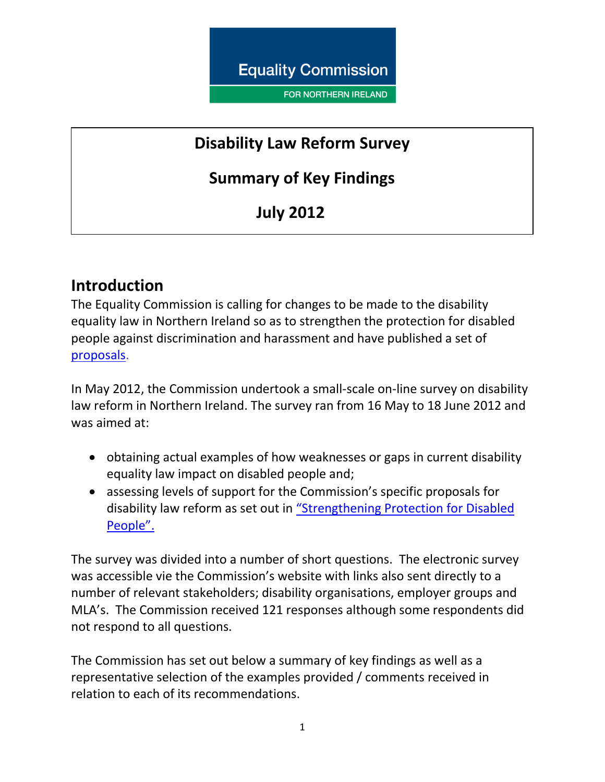**Equality Commission** 

**FOR NORTHERN IRELAND** 

## **Disability Law Reform Survey**

## **Summary of Key Findings**

# **July 2012**

## **Introduction**

The Equality Commission is calling for changes to be made to the disability equality law in Northern Ireland so as to strengthen the protection for disabled people against discrimination and harassment and have published a set of [proposals.](http://www.equalityni.org/archive/pdf/Strengthening_protection_for_disabled_people0312Summary.pdf)

In May 2012, the Commission undertook a small-scale on-line survey on disability law reform in Northern Ireland. The survey ran from 16 May to 18 June 2012 and was aimed at:

- obtaining actual examples of how weaknesses or gaps in current disability equality law impact on disabled people and;
- assessing levels of support for the Commission's specific proposals for disability law reform as set out in "Strengthening [Protection for Disabled](http://www.equalityni.org/archive/pdf/Strengthening_protection_for_disabled_people0312.pdf)  [People".](http://www.equalityni.org/archive/pdf/Strengthening_protection_for_disabled_people0312.pdf)

The survey was divided into a number of short questions. The electronic survey was accessible vie the Commission's website with links also sent directly to a number of relevant stakeholders; disability organisations, employer groups and MLA's. The Commission received 121 responses although some respondents did not respond to all questions.

The Commission has set out below a summary of key findings as well as a representative selection of the examples provided / comments received in relation to each of its recommendations.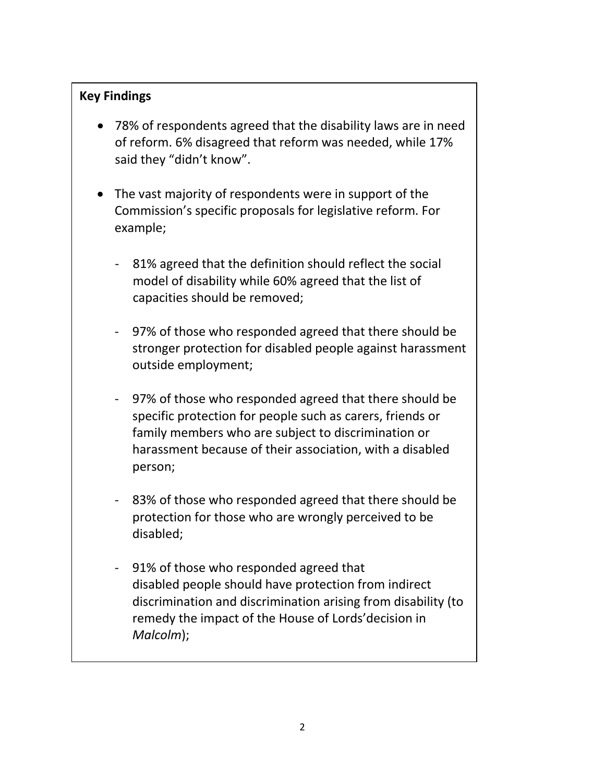### **Key Findings**

- 78% of respondents agreed that the disability laws are in need of reform. 6% disagreed that reform was needed, while 17% said they "didn't know".
- The vast majority of respondents were in support of the Commission's specific proposals for legislative reform. For example;
	- 81% agreed that the definition should reflect the social model of disability while 60% agreed that the list of capacities should be removed;
	- 97% of those who responded agreed that there should be stronger protection for disabled people against harassment outside employment;
	- 97% of those who responded agreed that there should be specific protection for people such as carers, friends or family members who are subject to discrimination or harassment because of their association, with a disabled person;
	- 83% of those who responded agreed that there should be protection for those who are wrongly perceived to be disabled;
	- 91% of those who responded agreed that disabled people should have protection from indirect discrimination and discrimination arising from disability (to remedy the impact of the House of Lords'decision in *Malcolm*);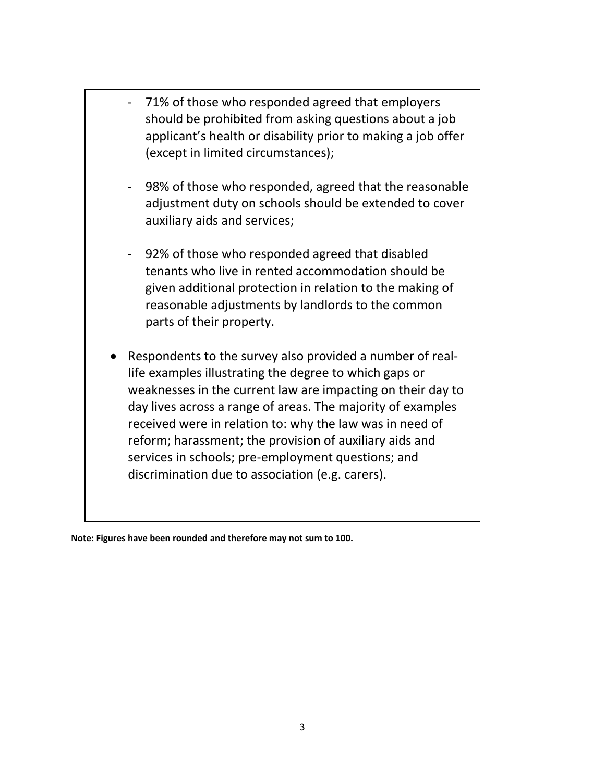71% of those who responded agreed that employers should be prohibited from asking questions about a job applicant's health or disability prior to making a job offer (except in limited circumstances); 98% of those who responded, agreed that the reasonable adjustment duty on schools should be extended to cover auxiliary aids and services; 92% of those who responded agreed that disabled tenants who live in rented accommodation should be given additional protection in relation to the making of reasonable adjustments by landlords to the common parts of their property. Respondents to the survey also provided a number of reallife examples illustrating the degree to which gaps or weaknesses in the current law are impacting on their day to day lives across a range of areas. The majority of examples received were in relation to: why the law was in need of reform; harassment; the provision of auxiliary aids and services in schools; pre-employment questions; and discrimination due to association (e.g. carers).

**Note: Figures have been rounded and therefore may not sum to 100.**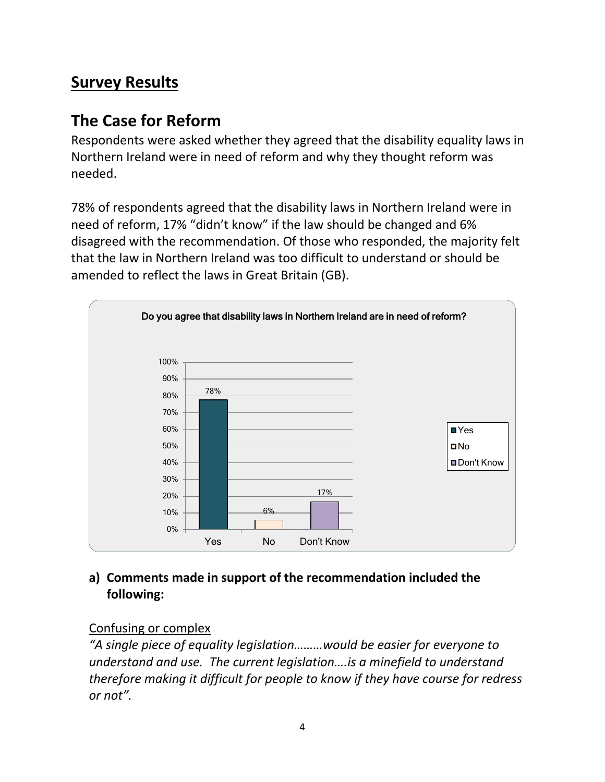# **Survey Results**

## **The Case for Reform**

Respondents were asked whether they agreed that the disability equality laws in Northern Ireland were in need of reform and why they thought reform was needed.

78% of respondents agreed that the disability laws in Northern Ireland were in need of reform, 17% "didn't know" if the law should be changed and 6% disagreed with the recommendation. Of those who responded, the majority felt that the law in Northern Ireland was too difficult to understand or should be amended to reflect the laws in Great Britain (GB).



### **a) Comments made in support of the recommendation included the following:**

### Confusing or complex

*"A single piece of equality legislation………would be easier for everyone to understand and use. The current legislation….is a minefield to understand therefore making it difficult for people to know if they have course for redress or not".*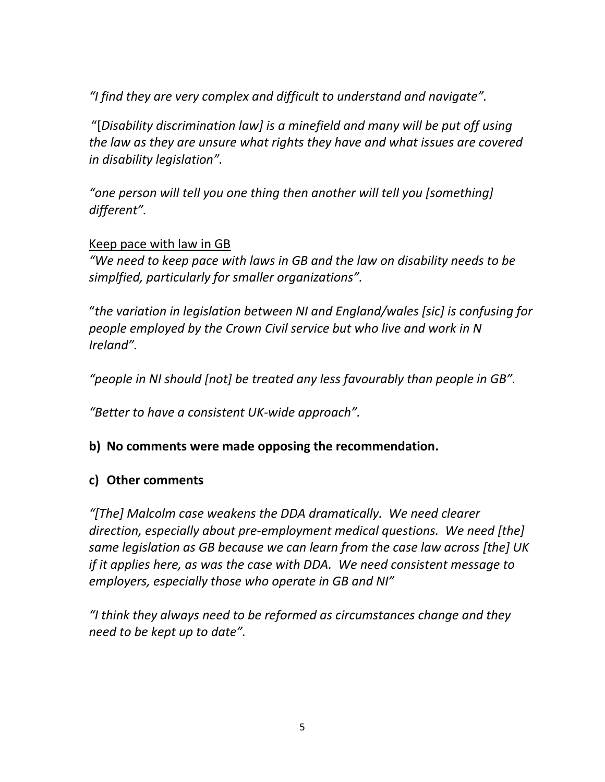*"I find they are very complex and difficult to understand and navigate".*

"[*Disability discrimination law] is a minefield and many will be put off using the law as they are unsure what rights they have and what issues are covered in disability legislation".*

*"one person will tell you one thing then another will tell you [something] different".*

#### Keep pace with law in GB

*"We need to keep pace with laws in GB and the law on disability needs to be simplfied, particularly for smaller organizations".*

"*the variation in legislation between NI and England/wales [sic] is confusing for people employed by the Crown Civil service but who live and work in N Ireland".* 

*"people in NI should [not] be treated any less favourably than people in GB".*

*"Better to have a consistent UK-wide approach".*

#### **b) No comments were made opposing the recommendation.**

#### **c) Other comments**

*"[The] Malcolm case weakens the DDA dramatically. We need clearer direction, especially about pre-employment medical questions. We need [the] same legislation as GB because we can learn from the case law across [the] UK if it applies here, as was the case with DDA. We need consistent message to employers, especially those who operate in GB and NI"*

*"I think they always need to be reformed as circumstances change and they need to be kept up to date".*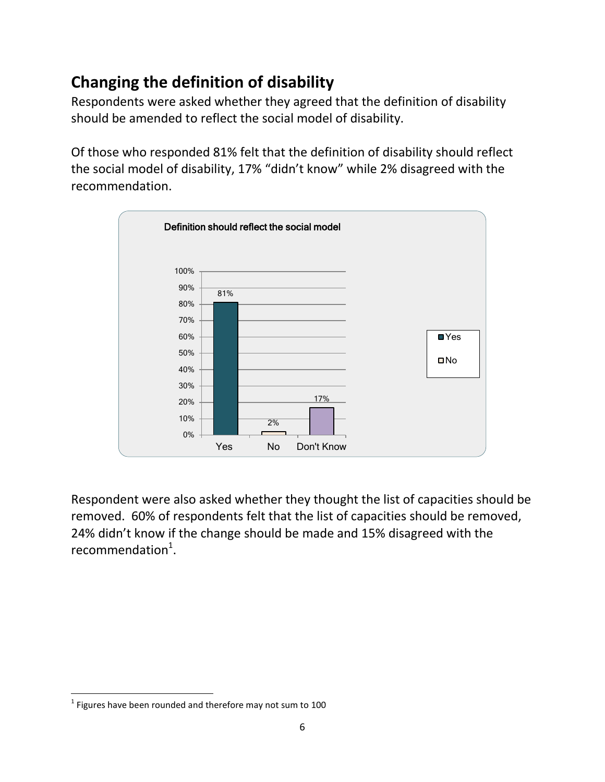# **Changing the definition of disability**

Respondents were asked whether they agreed that the definition of disability should be amended to reflect the social model of disability.

Of those who responded 81% felt that the definition of disability should reflect the social model of disability, 17% "didn't know" while 2% disagreed with the recommendation.



Respondent were also asked whether they thought the list of capacities should be removed. 60% of respondents felt that the list of capacities should be removed, 24% didn't know if the change should be made and 15% disagreed with the recommendation $^1$ .

 $\overline{\phantom{a}}$  $<sup>1</sup>$  Figures have been rounded and therefore may not sum to 100</sup>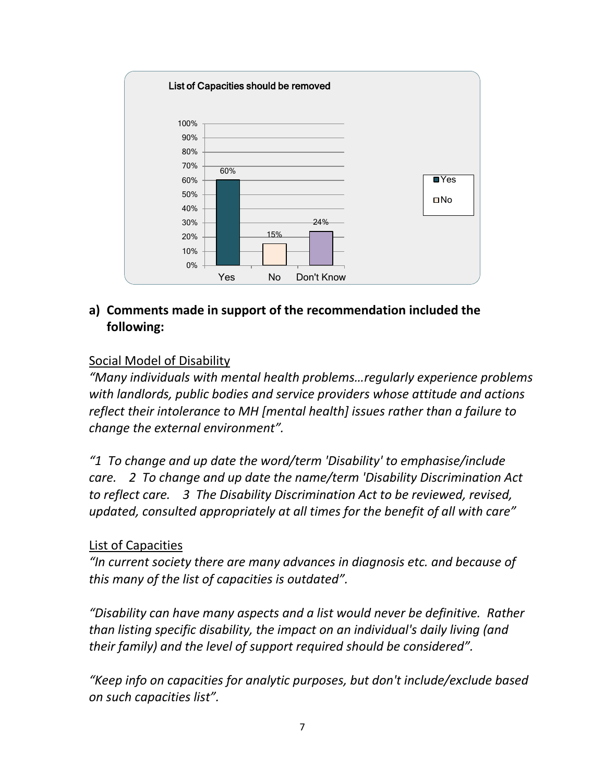

### Social Model of Disability

*"Many individuals with mental health problems…regularly experience problems with landlords, public bodies and service providers whose attitude and actions reflect their intolerance to MH [mental health] issues rather than a failure to change the external environment".*

*"1 To change and up date the word/term 'Disability' to emphasise/include care. 2 To change and up date the name/term 'Disability Discrimination Act to reflect care. 3 The Disability Discrimination Act to be reviewed, revised, updated, consulted appropriately at all times for the benefit of all with care"*

#### List of Capacities

*"In current society there are many advances in diagnosis etc. and because of this many of the list of capacities is outdated".*

*"Disability can have many aspects and a list would never be definitive. Rather than listing specific disability, the impact on an individual's daily living (and their family) and the level of support required should be considered".*

*"Keep info on capacities for analytic purposes, but don't include/exclude based on such capacities list".*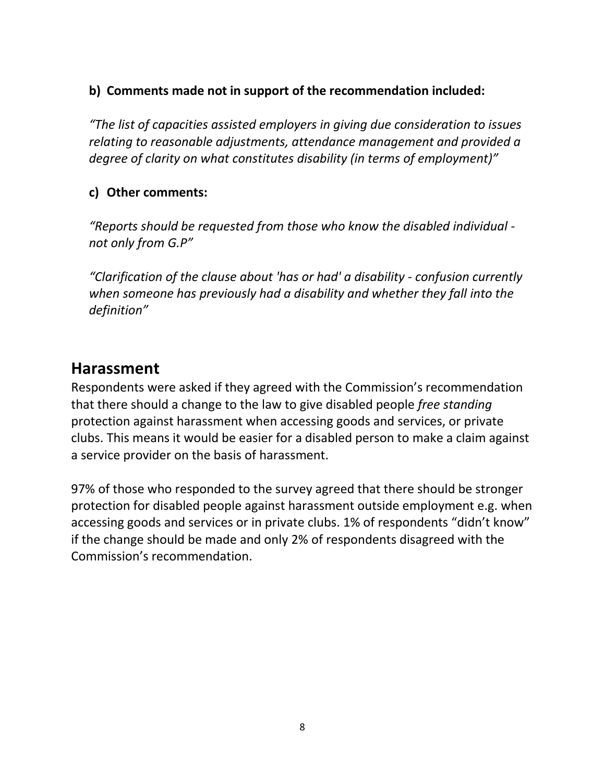### **b) Comments made not in support of the recommendation included:**

*"The list of capacities assisted employers in giving due consideration to issues relating to reasonable adjustments, attendance management and provided a degree of clarity on what constitutes disability (in terms of employment)"*

### **c) Other comments:**

*"Reports should be requested from those who know the disabled individual not only from G.P"*

*"Clarification of the clause about 'has or had' a disability - confusion currently when someone has previously had a disability and whether they fall into the definition"*

## **Harassment**

Respondents were asked if they agreed with the Commission's recommendation that there should a change to the law to give disabled people *free standing* protection against harassment when accessing goods and services, or private clubs. This means it would be easier for a disabled person to make a claim against a service provider on the basis of harassment.

97% of those who responded to the survey agreed that there should be stronger protection for disabled people against harassment outside employment e.g. when accessing goods and services or in private clubs. 1% of respondents "didn't know" if the change should be made and only 2% of respondents disagreed with the Commission's recommendation.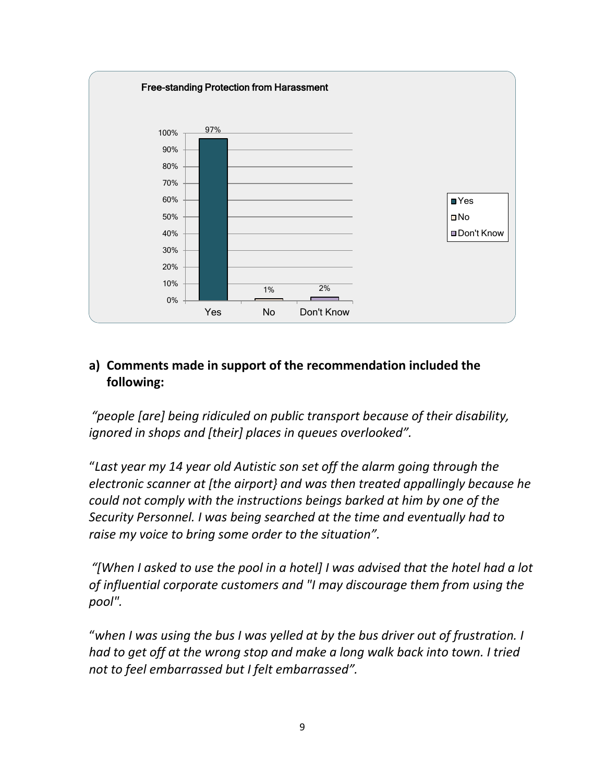

*"people [are] being ridiculed on public transport because of their disability, ignored in shops and [their] places in queues overlooked".* 

"*Last year my 14 year old Autistic son set off the alarm going through the electronic scanner at [the airport} and was then treated appallingly because he could not comply with the instructions beings barked at him by one of the Security Personnel. I was being searched at the time and eventually had to raise my voice to bring some order to the situation".*

*"[When I asked to use the pool in a hotel] I was advised that the hotel had a lot of influential corporate customers and "I may discourage them from using the pool".*

"*when I was using the bus I was yelled at by the bus driver out of frustration. I had to get off at the wrong stop and make a long walk back into town. I tried not to feel embarrassed but I felt embarrassed".*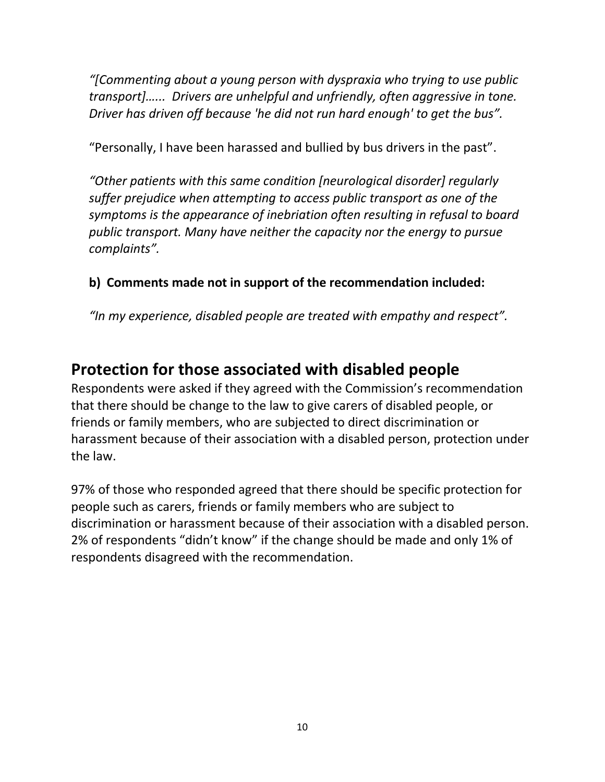*"[Commenting about a young person with dyspraxia who trying to use public transport]…... Drivers are unhelpful and unfriendly, often aggressive in tone. Driver has driven off because 'he did not run hard enough' to get the bus".*

"Personally, I have been harassed and bullied by bus drivers in the past".

*"Other patients with this same condition [neurological disorder] regularly suffer prejudice when attempting to access public transport as one of the symptoms is the appearance of inebriation often resulting in refusal to board public transport. Many have neither the capacity nor the energy to pursue complaints".*

### **b) Comments made not in support of the recommendation included:**

*"In my experience, disabled people are treated with empathy and respect".*

## **Protection for those associated with disabled people**

Respondents were asked if they agreed with the Commission's recommendation that there should be change to the law to give carers of disabled people, or friends or family members, who are subjected to direct discrimination or harassment because of their association with a disabled person, protection under the law.

97% of those who responded agreed that there should be specific protection for people such as carers, friends or family members who are subject to discrimination or harassment because of their association with a disabled person. 2% of respondents "didn't know" if the change should be made and only 1% of respondents disagreed with the recommendation.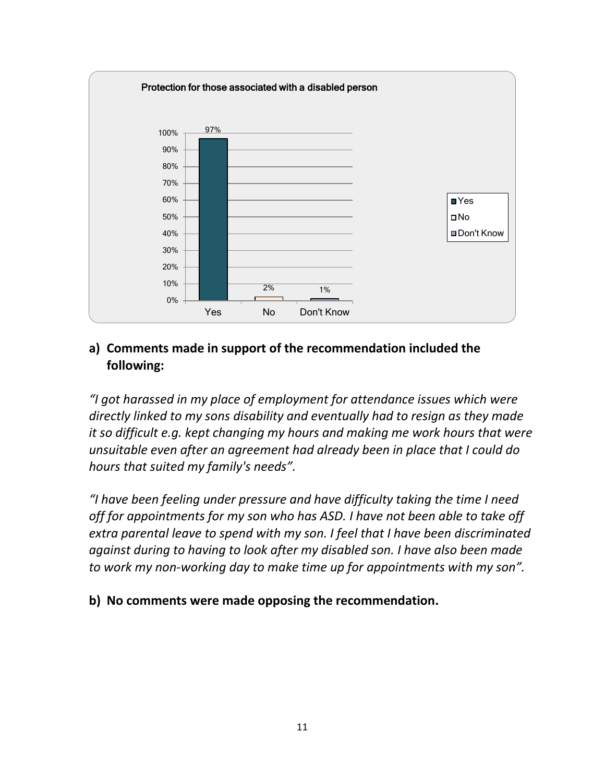

*"I got harassed in my place of employment for attendance issues which were directly linked to my sons disability and eventually had to resign as they made it so difficult e.g. kept changing my hours and making me work hours that were unsuitable even after an agreement had already been in place that I could do hours that suited my family's needs".*

*"I have been feeling under pressure and have difficulty taking the time I need off for appointments for my son who has ASD. I have not been able to take off extra parental leave to spend with my son. I feel that I have been discriminated against during to having to look after my disabled son. I have also been made to work my non-working day to make time up for appointments with my son".*

#### **b) No comments were made opposing the recommendation.**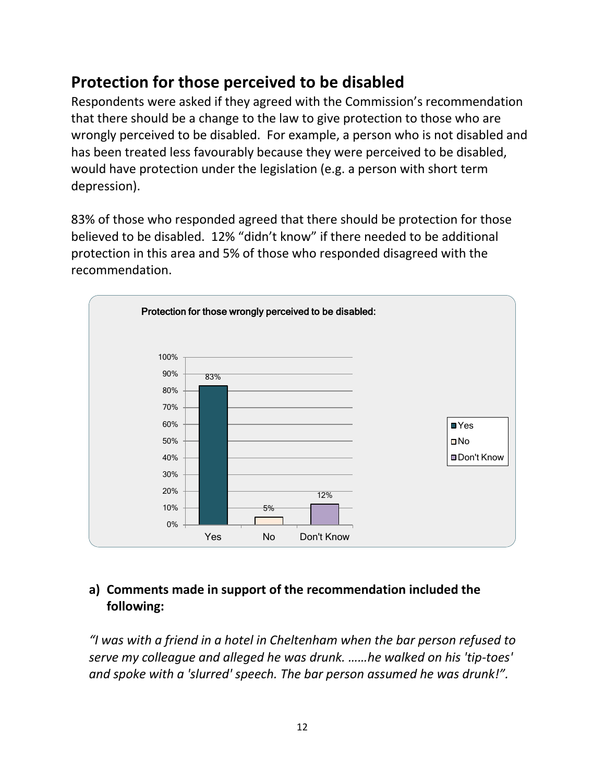## **Protection for those perceived to be disabled**

Respondents were asked if they agreed with the Commission's recommendation that there should be a change to the law to give protection to those who are wrongly perceived to be disabled. For example, a person who is not disabled and has been treated less favourably because they were perceived to be disabled, would have protection under the legislation (e.g. a person with short term depression).

83% of those who responded agreed that there should be protection for those believed to be disabled. 12% "didn't know" if there needed to be additional protection in this area and 5% of those who responded disagreed with the recommendation.



### **a) Comments made in support of the recommendation included the following:**

*"I was with a friend in a hotel in Cheltenham when the bar person refused to serve my colleague and alleged he was drunk. ……he walked on his 'tip-toes' and spoke with a 'slurred' speech. The bar person assumed he was drunk!".*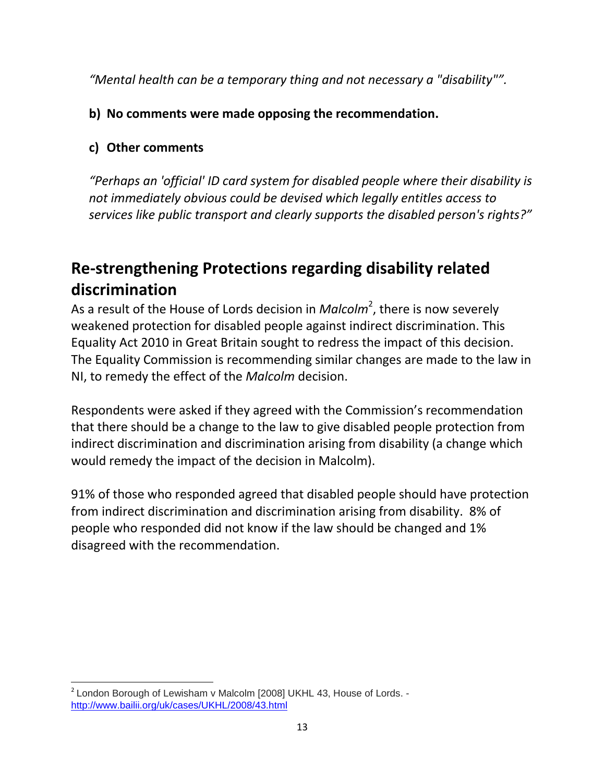*"Mental health can be a temporary thing and not necessary a "disability"".*

## **b) No comments were made opposing the recommendation.**

## **c) Other comments**

*"Perhaps an 'official' ID card system for disabled people where their disability is not immediately obvious could be devised which legally entitles access to services like public transport and clearly supports the disabled person's rights?"*

# **Re-strengthening Protections regarding disability related discrimination**

As a result of the House of Lords decision in *Malcolm<sup>2</sup>*, there is now severely weakened protection for disabled people against indirect discrimination. This Equality Act 2010 in Great Britain sought to redress the impact of this decision. The Equality Commission is recommending similar changes are made to the law in NI, to remedy the effect of the *Malcolm* decision.

Respondents were asked if they agreed with the Commission's recommendation that there should be a change to the law to give disabled people protection from indirect discrimination and discrimination arising from disability (a change which would remedy the impact of the decision in Malcolm).

91% of those who responded agreed that disabled people should have protection from indirect discrimination and discrimination arising from disability. 8% of people who responded did not know if the law should be changed and 1% disagreed with the recommendation.

l <sup>2</sup> London Borough of Lewisham v Malcolm [2008] UKHL 43, House of Lords. <http://www.bailii.org/uk/cases/UKHL/2008/43.html>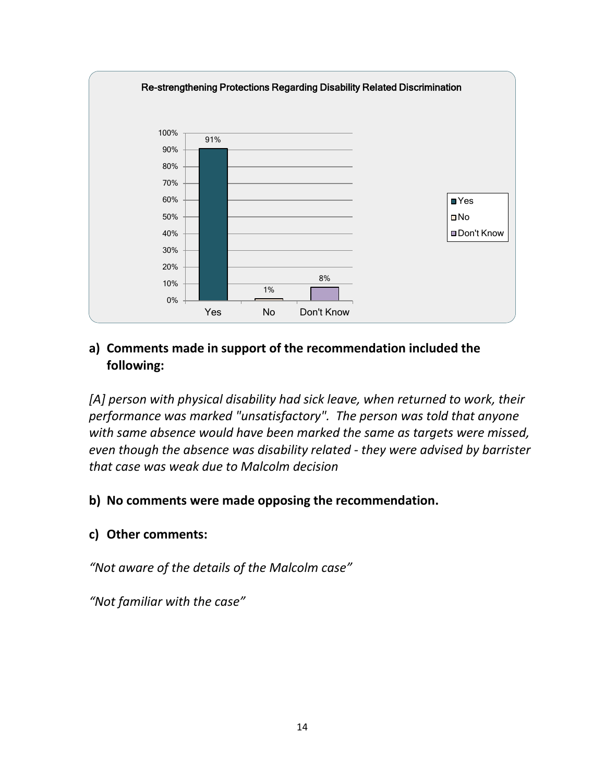

[A] person with physical disability had sick leave, when returned to work, their *performance was marked "unsatisfactory". The person was told that anyone with same absence would have been marked the same as targets were missed, even though the absence was disability related - they were advised by barrister that case was weak due to Malcolm decision* 

#### **b) No comments were made opposing the recommendation.**

#### **c) Other comments:**

*"Not aware of the details of the Malcolm case"*

*"Not familiar with the case"*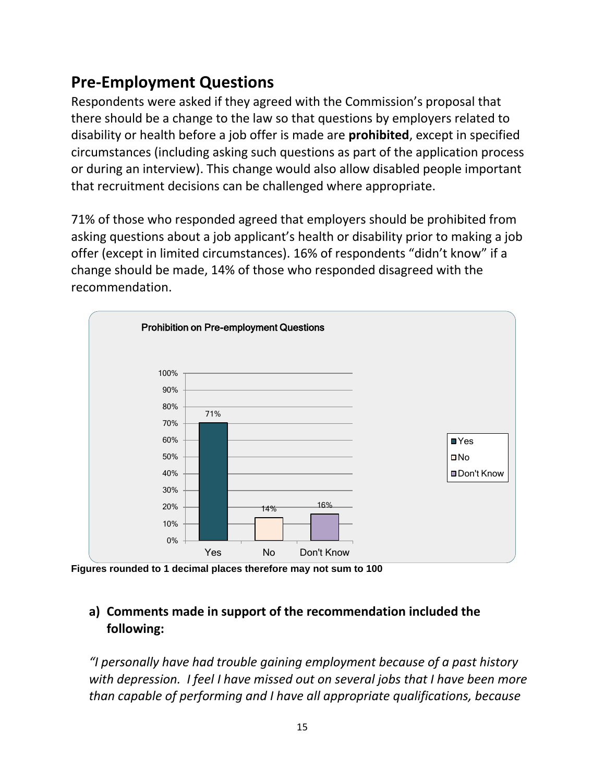## **Pre-Employment Questions**

Respondents were asked if they agreed with the Commission's proposal that there should be a change to the law so that questions by employers related to disability or health before a job offer is made are **prohibited**, except in specified circumstances (including asking such questions as part of the application process or during an interview). This change would also allow disabled people important that recruitment decisions can be challenged where appropriate.

71% of those who responded agreed that employers should be prohibited from asking questions about a job applicant's health or disability prior to making a job offer (except in limited circumstances). 16% of respondents "didn't know" if a change should be made, 14% of those who responded disagreed with the recommendation.



**Figures rounded to 1 decimal places therefore may not sum to 100**

### **a) Comments made in support of the recommendation included the following:**

*"I personally have had trouble gaining employment because of a past history with depression. I feel I have missed out on several jobs that I have been more than capable of performing and I have all appropriate qualifications, because*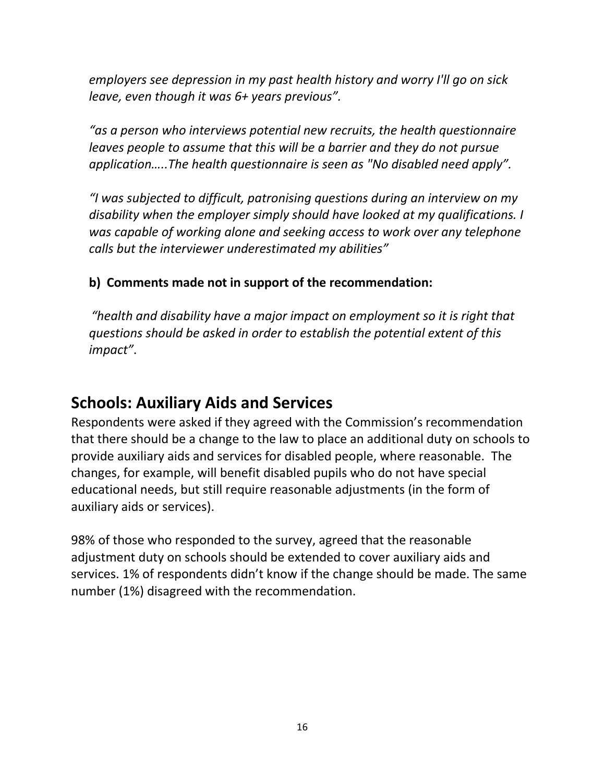*employers see depression in my past health history and worry I'll go on sick leave, even though it was 6+ years previous".*

*"as a person who interviews potential new recruits, the health questionnaire leaves people to assume that this will be a barrier and they do not pursue application…..The health questionnaire is seen as "No disabled need apply".*

*"I was subjected to difficult, patronising questions during an interview on my disability when the employer simply should have looked at my qualifications. I was capable of working alone and seeking access to work over any telephone calls but the interviewer underestimated my abilities"*

### **b) Comments made not in support of the recommendation:**

*"health and disability have a major impact on employment so it is right that questions should be asked in order to establish the potential extent of this impact"*.

## **Schools: Auxiliary Aids and Services**

Respondents were asked if they agreed with the Commission's recommendation that there should be a change to the law to place an additional duty on schools to provide auxiliary aids and services for disabled people, where reasonable. The changes, for example, will benefit disabled pupils who do not have special educational needs, but still require reasonable adjustments (in the form of auxiliary aids or services).

98% of those who responded to the survey, agreed that the reasonable adjustment duty on schools should be extended to cover auxiliary aids and services. 1% of respondents didn't know if the change should be made. The same number (1%) disagreed with the recommendation.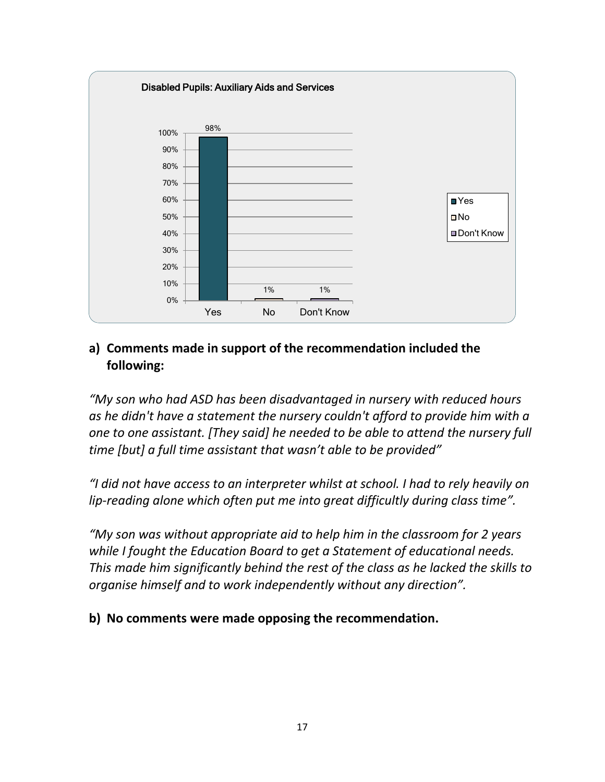

*"My son who had ASD has been disadvantaged in nursery with reduced hours as he didn't have a statement the nursery couldn't afford to provide him with a one to one assistant. [They said] he needed to be able to attend the nursery full time [but] a full time assistant that wasn't able to be provided"*

*"I did not have access to an interpreter whilst at school. I had to rely heavily on lip-reading alone which often put me into great difficultly during class time".*

*"My son was without appropriate aid to help him in the classroom for 2 years while I fought the Education Board to get a Statement of educational needs. This made him significantly behind the rest of the class as he lacked the skills to organise himself and to work independently without any direction".*

**b) No comments were made opposing the recommendation.**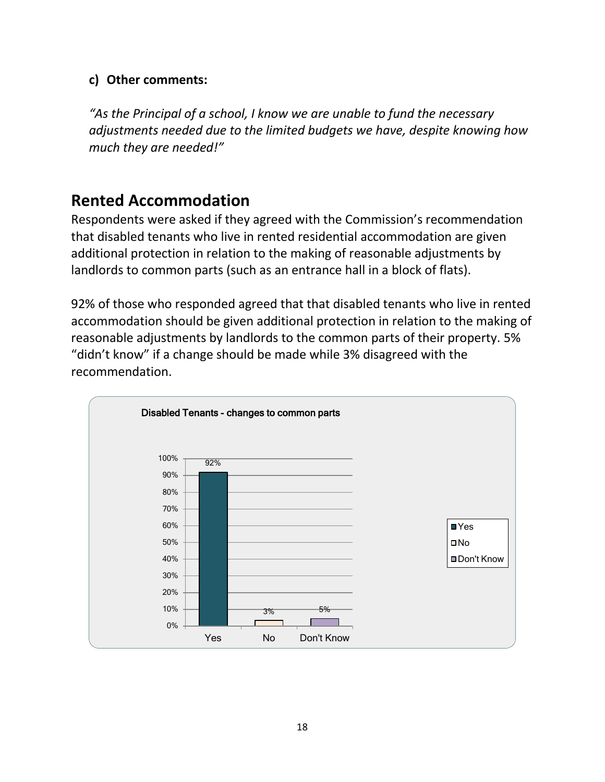#### **c) Other comments:**

*"As the Principal of a school, I know we are unable to fund the necessary adjustments needed due to the limited budgets we have, despite knowing how much they are needed!"*

## **Rented Accommodation**

Respondents were asked if they agreed with the Commission's recommendation that disabled tenants who live in rented residential accommodation are given additional protection in relation to the making of reasonable adjustments by landlords to common parts (such as an entrance hall in a block of flats).

92% of those who responded agreed that that disabled tenants who live in rented accommodation should be given additional protection in relation to the making of reasonable adjustments by landlords to the common parts of their property. 5% "didn't know" if a change should be made while 3% disagreed with the recommendation.

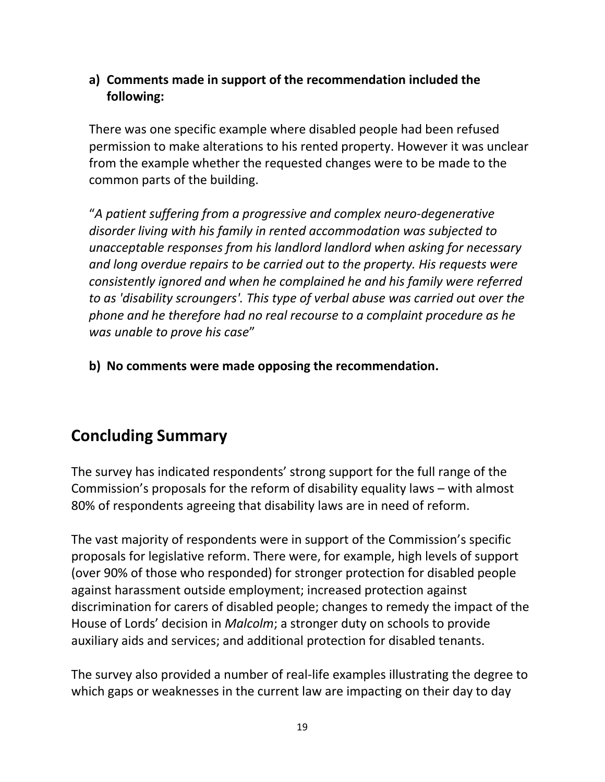There was one specific example where disabled people had been refused permission to make alterations to his rented property. However it was unclear from the example whether the requested changes were to be made to the common parts of the building.

"*A patient suffering from a progressive and complex neuro-degenerative disorder living with his family in rented accommodation was subjected to unacceptable responses from his landlord landlord when asking for necessary and long overdue repairs to be carried out to the property. His requests were consistently ignored and when he complained he and his family were referred to as 'disability scroungers'. This type of verbal abuse was carried out over the phone and he therefore had no real recourse to a complaint procedure as he was unable to prove his case*"

**b) No comments were made opposing the recommendation.**

## **Concluding Summary**

The survey has indicated respondents' strong support for the full range of the Commission's proposals for the reform of disability equality laws – with almost 80% of respondents agreeing that disability laws are in need of reform.

The vast majority of respondents were in support of the Commission's specific proposals for legislative reform. There were, for example, high levels of support (over 90% of those who responded) for stronger protection for disabled people against harassment outside employment; increased protection against discrimination for carers of disabled people; changes to remedy the impact of the House of Lords' decision in *Malcolm*; a stronger duty on schools to provide auxiliary aids and services; and additional protection for disabled tenants.

The survey also provided a number of real-life examples illustrating the degree to which gaps or weaknesses in the current law are impacting on their day to day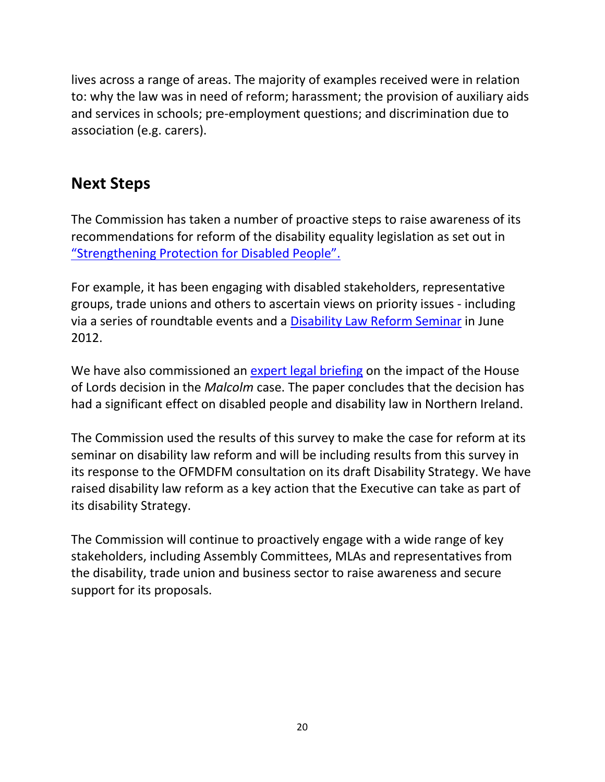lives across a range of areas. The majority of examples received were in relation to: why the law was in need of reform; harassment; the provision of auxiliary aids and services in schools; pre-employment questions; and discrimination due to association (e.g. carers).

## **Next Steps**

The Commission has taken a number of proactive steps to raise awareness of its recommendations for reform of the disability equality legislation as set out in ["Strengthening Protection for Disabled People".](http://www.equalityni.org/archive/pdf/Strengthening_protection_for_disabled_people0312.pdf)

For example, it has been engaging with disabled stakeholders, representative groups, trade unions and others to ascertain views on priority issues - including via a series of roundtable events and a [Disability Law Reform Seminar](http://www.equalityni.org/sections/default.asp?cms=The%20Law_Pressing%20for%20reform_Disability%20law%20reform&cmsid=4_967_970&id=970&secid=5#eve) in June 2012.

We have also commissioned an [expert legal briefing](http://www.equalityni.org/archive/word/Malcolmpaperfinal.docx) on the impact of the House of Lords decision in the *Malcolm* case. The paper concludes that the decision has had a significant effect on disabled people and disability law in Northern Ireland.

The Commission used the results of this survey to make the case for reform at its seminar on disability law reform and will be including results from this survey in its response to the OFMDFM consultation on its draft Disability Strategy. We have raised disability law reform as a key action that the Executive can take as part of its disability Strategy.

The Commission will continue to proactively engage with a wide range of key stakeholders, including Assembly Committees, MLAs and representatives from the disability, trade union and business sector to raise awareness and secure support for its proposals.